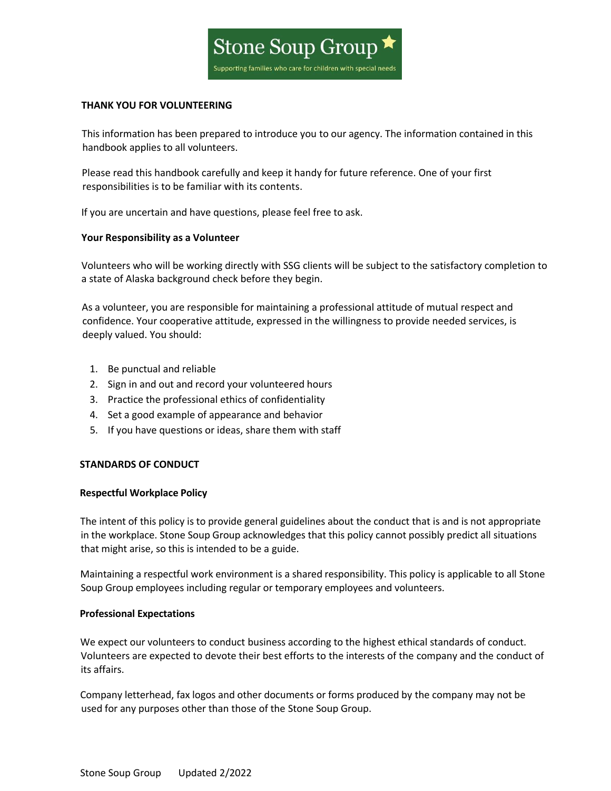

### **THANK YOU FOR VOLUNTEERING**

This information has been prepared to introduce you to our agency. The information contained in this handbook applies to all volunteers.

Please read this handbook carefully and keep it handy for future reference. One of your first responsibilities is to be familiar with its contents.

If you are uncertain and have questions, please feel free to ask.

# **Your Responsibility as a Volunteer**

Volunteers who will be working directly with SSG clients will be subject to the satisfactory completion to a state of Alaska background check before they begin.

As a volunteer, you are responsible for maintaining a professional attitude of mutual respect and confidence. Your cooperative attitude, expressed in the willingness to provide needed services, is deeply valued. You should:

- 1. Be punctual and reliable
- 2. Sign in and out and record your volunteered hours
- 3. Practice the professional ethics of confidentiality
- 4. Set a good example of appearance and behavior
- 5. If you have questions or ideas, share them with staff

# **STANDARDS OF CONDUCT**

### **Respectful Workplace Policy**

The intent of this policy is to provide general guidelines about the conduct that is and is not appropriate in the workplace. Stone Soup Group acknowledges that this policy cannot possibly predict all situations that might arise, so this is intended to be a guide.

Maintaining a respectful work environment is a shared responsibility. This policy is applicable to all Stone Soup Group employees including regular or temporary employees and volunteers.

### **Professional Expectations**

We expect our volunteers to conduct business according to the highest ethical standards of conduct. Volunteers are expected to devote their best efforts to the interests of the company and the conduct of its affairs.

Company letterhead, fax logos and other documents or forms produced by the company may not be used for any purposes other than those of the Stone Soup Group.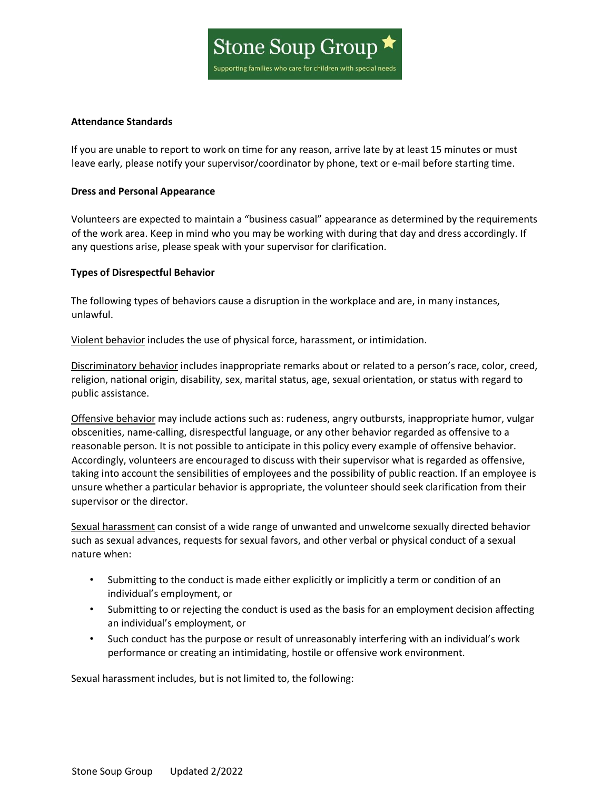

# **Attendance Standards**

If you are unable to report to work on time for any reason, arrive late by at least 15 minutes or must leave early, please notify your supervisor/coordinator by phone, text or e-mail before starting time.

### **Dress and Personal Appearance**

Volunteers are expected to maintain a "business casual" appearance as determined by the requirements of the work area. Keep in mind who you may be working with during that day and dress accordingly. If any questions arise, please speak with your supervisor for clarification.

# **Types of Disrespectful Behavior**

The following types of behaviors cause a disruption in the workplace and are, in many instances, unlawful.

Violent behavior includes the use of physical force, harassment, or intimidation.

Discriminatory behavior includes inappropriate remarks about or related to a person's race, color, creed, religion, national origin, disability, sex, marital status, age, sexual orientation, or status with regard to public assistance.

Offensive behavior may include actions such as: rudeness, angry outbursts, inappropriate humor, vulgar obscenities, name-calling, disrespectful language, or any other behavior regarded as offensive to a reasonable person. It is not possible to anticipate in this policy every example of offensive behavior. Accordingly, volunteers are encouraged to discuss with their supervisor what is regarded as offensive, taking into account the sensibilities of employees and the possibility of public reaction. If an employee is unsure whether a particular behavior is appropriate, the volunteer should seek clarification from their supervisor or the director.

Sexual harassment can consist of a wide range of unwanted and unwelcome sexually directed behavior such as sexual advances, requests for sexual favors, and other verbal or physical conduct of a sexual nature when:

- Submitting to the conduct is made either explicitly or implicitly a term or condition of an individual's employment, or
- Submitting to or rejecting the conduct is used as the basis for an employment decision affecting an individual's employment, or
- Such conduct has the purpose or result of unreasonably interfering with an individual's work performance or creating an intimidating, hostile or offensive work environment.

Sexual harassment includes, but is not limited to, the following: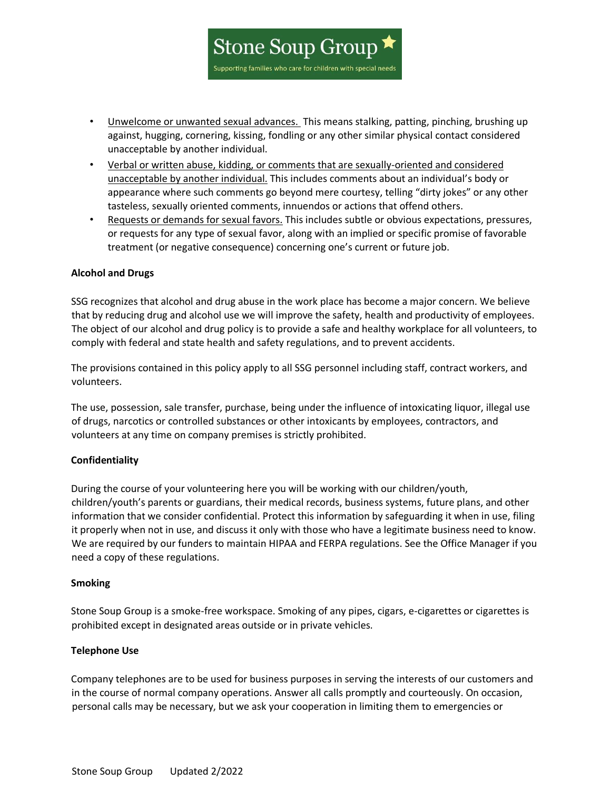

**Stone Soup Group** 

Supporting families who care for children with special needs

- Verbal or written abuse, kidding, or comments that are sexually-oriented and considered unacceptable by another individual. This includes comments about an individual's body or appearance where such comments go beyond mere courtesy, telling "dirty jokes" or any other tasteless, sexually oriented comments, innuendos or actions that offend others.
- Requests or demands for sexual favors. This includes subtle or obvious expectations, pressures, or requests for any type of sexual favor, along with an implied or specific promise of favorable treatment (or negative consequence) concerning one's current or future job.

# **Alcohol and Drugs**

SSG recognizes that alcohol and drug abuse in the work place has become a major concern. We believe that by reducing drug and alcohol use we will improve the safety, health and productivity of employees. The object of our alcohol and drug policy is to provide a safe and healthy workplace for all volunteers, to comply with federal and state health and safety regulations, and to prevent accidents.

The provisions contained in this policy apply to all SSG personnel including staff, contract workers, and volunteers.

The use, possession, sale transfer, purchase, being under the influence of intoxicating liquor, illegal use of drugs, narcotics or controlled substances or other intoxicants by employees, contractors, and volunteers at any time on company premises is strictly prohibited.

### **Confidentiality**

During the course of your volunteering here you will be working with our children/youth, children/youth's parents or guardians, their medical records, business systems, future plans, and other information that we consider confidential. Protect this information by safeguarding it when in use, filing it properly when not in use, and discuss it only with those who have a legitimate business need to know. We are required by our funders to maintain HIPAA and FERPA regulations. See the Office Manager if you need a copy of these regulations.

### **Smoking**

Stone Soup Group is a smoke-free workspace. Smoking of any pipes, cigars, e-cigarettes or cigarettes is prohibited except in designated areas outside or in private vehicles.

### **Telephone Use**

Company telephones are to be used for business purposes in serving the interests of our customers and in the course of normal company operations. Answer all calls promptly and courteously. On occasion, personal calls may be necessary, but we ask your cooperation in limiting them to emergencies or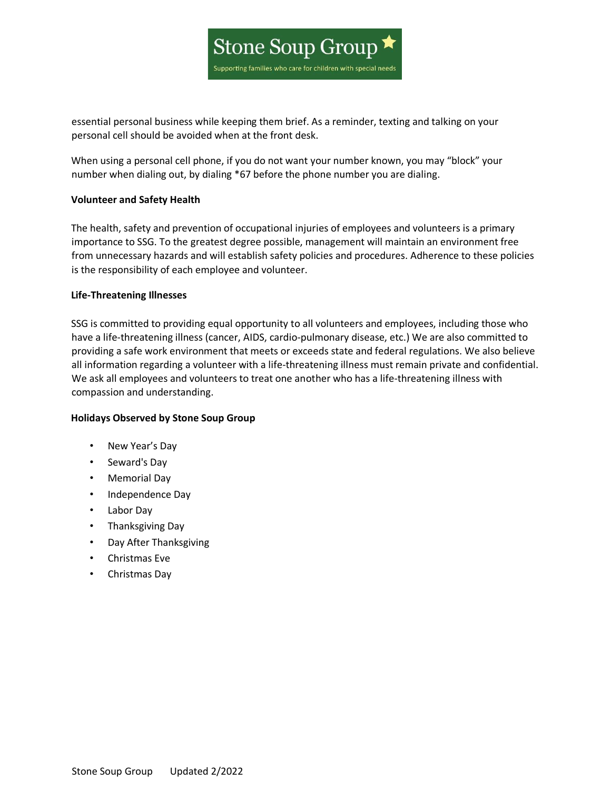

essential personal business while keeping them brief. As a reminder, texting and talking on your personal cell should be avoided when at the front desk.

When using a personal cell phone, if you do not want your number known, you may "block" your number when dialing out, by dialing \*67 before the phone number you are dialing.

# **Volunteer and Safety Health**

The health, safety and prevention of occupational injuries of employees and volunteers is a primary importance to SSG. To the greatest degree possible, management will maintain an environment free from unnecessary hazards and will establish safety policies and procedures. Adherence to these policies is the responsibility of each employee and volunteer.

# **Life-Threatening Illnesses**

SSG is committed to providing equal opportunity to all volunteers and employees, including those who have a life-threatening illness (cancer, AIDS, cardio-pulmonary disease, etc.) We are also committed to providing a safe work environment that meets or exceeds state and federal regulations. We also believe all information regarding a volunteer with a life-threatening illness must remain private and confidential. We ask all employees and volunteers to treat one another who has a life-threatening illness with compassion and understanding.

### **Holidays Observed by Stone Soup Group**

- New Year's Day
- Seward's Day
- Memorial Day
- Independence Day
- Labor Day
- Thanksgiving Day
- Day After Thanksgiving
- Christmas Eve
- Christmas Day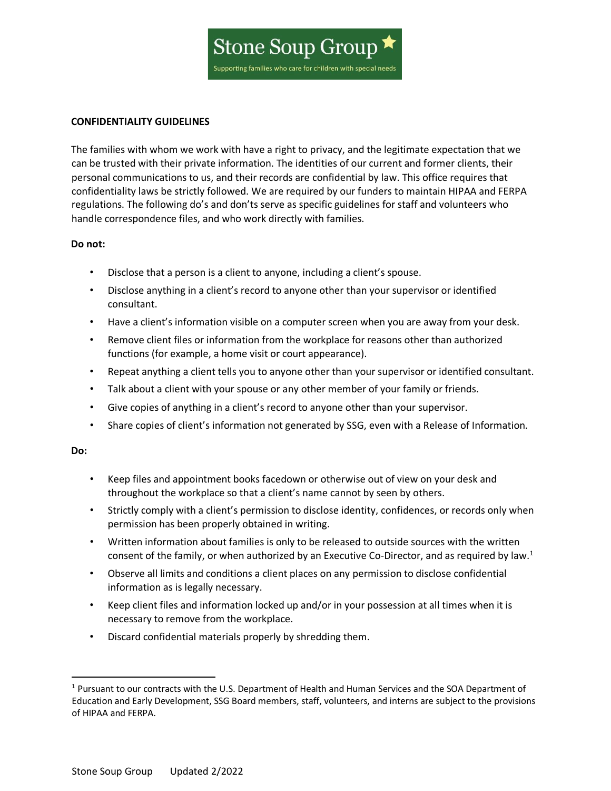

#### **CONFIDENTIALITY GUIDELINES**

The families with whom we work with have a right to privacy, and the legitimate expectation that we can be trusted with their private information. The identities of our current and former clients, their personal communications to us, and their records are confidential by law. This office requires that confidentiality laws be strictly followed. We are required by our funders to maintain HIPAA and FERPA regulations. The following do's and don'ts serve as specific guidelines for staff and volunteers who handle correspondence files, and who work directly with families.

### **Do not:**

- Disclose that a person is a client to anyone, including a client's spouse.
- Disclose anything in a client's record to anyone other than your supervisor or identified consultant.
- Have a client's information visible on a computer screen when you are away from your desk.
- Remove client files or information from the workplace for reasons other than authorized functions (for example, a home visit or court appearance).
- Repeat anything a client tells you to anyone other than your supervisor or identified consultant.
- Talk about a client with your spouse or any other member of your family or friends.
- Give copies of anything in a client's record to anyone other than your supervisor.
- Share copies of client's information not generated by SSG, even with a Release of Information.

### **Do:**

- Keep files and appointment books facedown or otherwise out of view on your desk and throughout the workplace so that a client's name cannot by seen by others.
- Strictly comply with a client's permission to disclose identity, confidences, or records only when permission has been properly obtained in writing.
- Written information about families is only to be released to outside sources with the written consent of the family, or when authorized by an Executive Co-Director, and as required by law.<sup>[1](#page-4-0)</sup>
- Observe all limits and conditions a client places on any permission to disclose confidential information as is legally necessary.
- Keep client files and information locked up and/or in your possession at all times when it is necessary to remove from the workplace.
- Discard confidential materials properly by shredding them.

<span id="page-4-0"></span> $1$  Pursuant to our contracts with the U.S. Department of Health and Human Services and the SOA Department of Education and Early Development, SSG Board members, staff, volunteers, and interns are subject to the provisions of HIPAA and FERPA.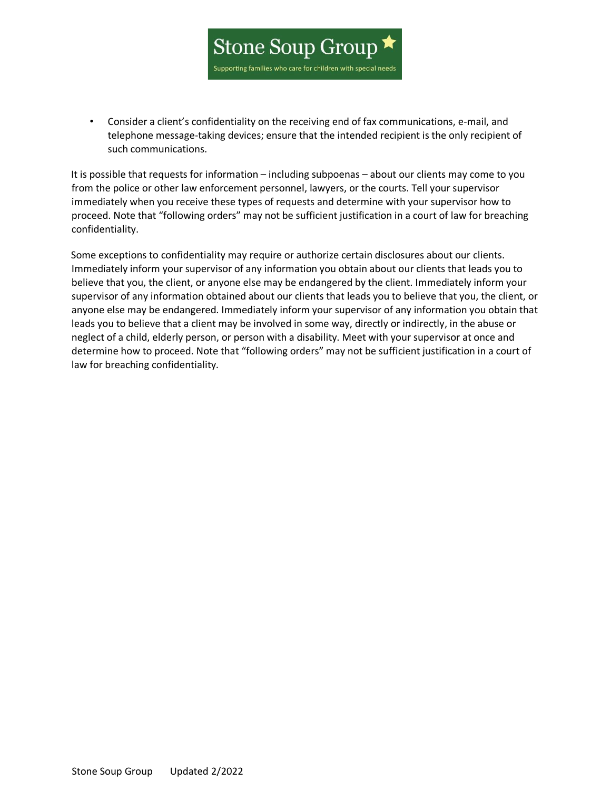

• Consider a client's confidentiality on the receiving end of fax communications, e-mail, and telephone message-taking devices; ensure that the intended recipient is the only recipient of such communications.

It is possible that requests for information – including subpoenas – about our clients may come to you from the police or other law enforcement personnel, lawyers, or the courts. Tell your supervisor immediately when you receive these types of requests and determine with your supervisor how to proceed. Note that "following orders" may not be sufficient justification in a court of law for breaching confidentiality.

Some exceptions to confidentiality may require or authorize certain disclosures about our clients. Immediately inform your supervisor of any information you obtain about our clients that leads you to believe that you, the client, or anyone else may be endangered by the client. Immediately inform your supervisor of any information obtained about our clients that leads you to believe that you, the client, or anyone else may be endangered. Immediately inform your supervisor of any information you obtain that leads you to believe that a client may be involved in some way, directly or indirectly, in the abuse or neglect of a child, elderly person, or person with a disability. Meet with your supervisor at once and determine how to proceed. Note that "following orders" may not be sufficient justification in a court of law for breaching confidentiality.